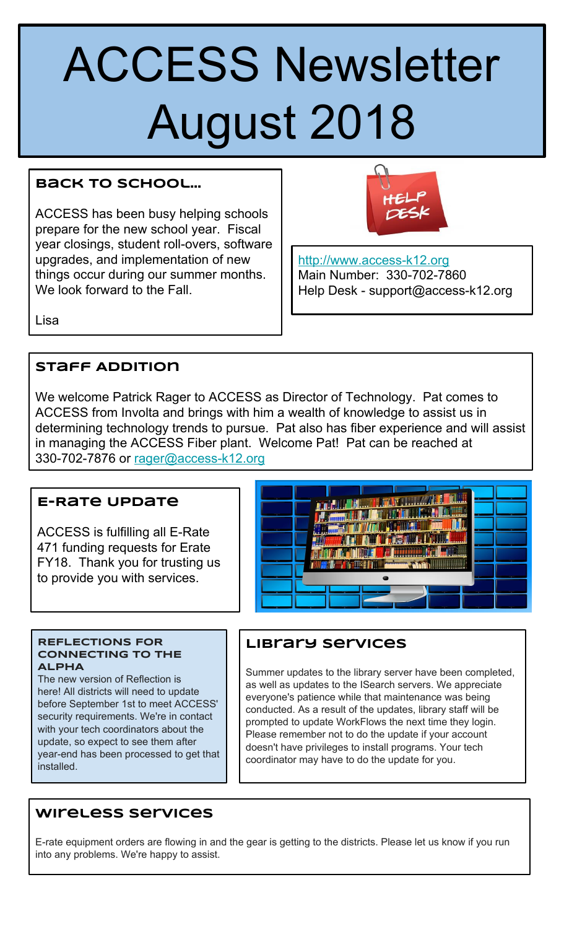# ACCESS Newsletter August 2018

# **Back to School…**

ACCESS has been busy helping schools prepare for the new school year. Fiscal year closings, student roll-overs, software upgrades, and implementation of new things occur during our summer months. We look forward to the Fall.



[http://www.access-k12.org](https://www.google.com/url?q=http://www.access-k12.org&sa=D&ust=1533142892212000&usg=AFQjCNEWv_6omvIexc64TZ5pkJh1_UtiVw) Main Number: 330-702-7860 Help Desk - support@access-k12.org

Lisa

# **Staff Addition**

We welcome Patrick Rager to ACCESS as Director of Technology. Pat comes to ACCESS from Involta and brings with him a wealth of knowledge to assist us in determining technology trends to pursue. Pat also has fiber experience and will assist in managing the ACCESS Fiber plant. Welcome Pat! Pat can be reached at 330-702-7876 or [rager@access-k12.org](mailto:rager@access-k12.org)

# **E-Rate Update**

ACCESS is fulfilling all E-Rate 471 funding requests for Erate FY18. Thank you for trusting us to provide you with services.



#### **REFLECTIONS FOR CONNECTING TO THE ALPHA**

The new version of Reflection is here! All districts will need to update before September 1st to meet ACCESS' security requirements. We're in contact with your tech coordinators about the update, so expect to see them after year-end has been processed to get that installed.

# **Library Services**

Summer updates to the library server have been completed, as well as updates to the ISearch servers. We appreciate everyone's patience while that maintenance was being conducted. As a result of the updates, library staff will be prompted to update WorkFlows the next time they login. Please remember not to do the update if your account doesn't have privileges to install programs. Your tech coordinator may have to do the update for you.

# **Wireless Services**

E-rate equipment orders are flowing in and the gear is getting to the districts. Please let us know if you run into any problems. We're happy to assist.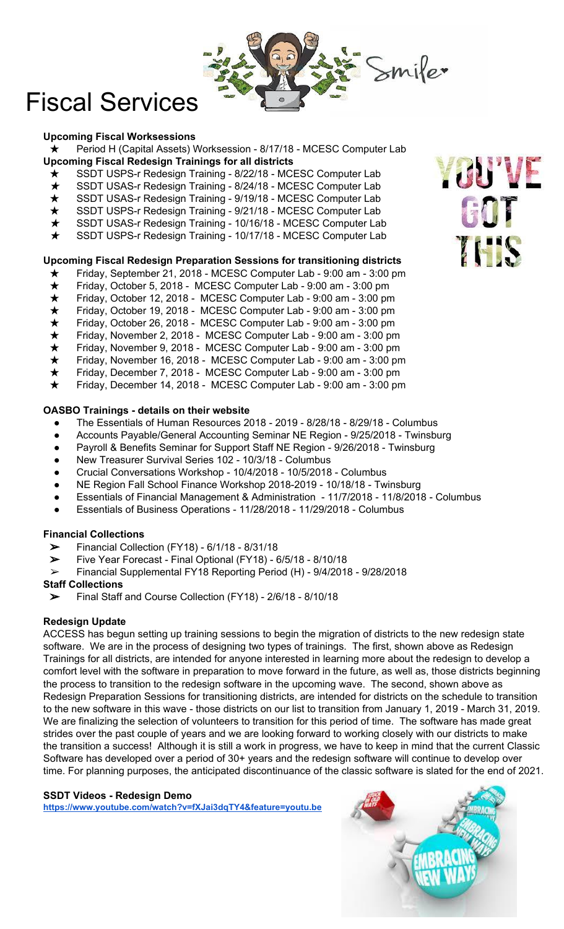

# Fiscal Services

#### **Upcoming Fiscal Worksessions**

★ Period H (Capital Assets) Worksession - 8/17/18 - MCESC Computer Lab **Upcoming Fiscal Redesign Trainings for all districts**

- ★ SSDT USPS-r Redesign Training 8/22/18 MCESC Computer Lab
- ★ SSDT USAS-r Redesign Training 8/24/18 MCESC Computer Lab
- ★ SSDT USAS-r Redesign Training 9/19/18 MCESC Computer Lab
- ★ SSDT USPS-r Redesign Training 9/21/18 MCESC Computer Lab
- ★ SSDT USAS-r Redesign Training 10/16/18 MCESC Computer Lab
- ★ SSDT USPS-r Redesign Training 10/17/18 MCESC Computer Lab

#### **Upcoming Fiscal Redesign Preparation Sessions for transitioning districts**

- ★ Friday, September 21, 2018 MCESC Computer Lab 9:00 am 3:00 pm
- 
- Friday, October 5, 2018 MCESC Computer Lab 9:00 am 3:00 pm<br>Friday, October 12, 2018 MCESC Computer Lab 9:00 am 3:00 pn<br>Friday, October 19, 2018 MCESC Computer Lab 9:00 am 3:00 pn<br>Friday, October 26, 2018 Friday, October 12, 2018 - MCESC Computer Lab - 9:00 am - 3:00 pm
- Friday, October 19, 2018 MCESC Computer Lab 9:00 am 3:00 pm
- Friday, October 26, 2018 MCESC Computer Lab 9:00 am 3:00 pm
- Friday, November 2, 2018 MCESC Computer Lab 9:00 am 3:00 pm
- Friday, November 9, 2018 MCESC Computer Lab 9:00 am 3:00 pm
- Friday, November 16, 2018 MCESC Computer Lab 9:00 am 3:00 pm
- Friday, December 7, 2018 MCESC Computer Lab 9:00 am 3:00 pm
- Friday, December 14, 2018 MCESC Computer Lab 9:00 am 3:00 pm

#### **OASBO Trainings - details on their website**

- The Essentials of Human Resources 2018 2019 8/28/18 8/29/18 Columbus
- Accounts Payable/General Accounting Seminar NE Region 9/25/2018 Twinsburg
- Payroll & Benefits Seminar for Support Staff NE Region 9/26/2018 Twinsburg
- New Treasurer Survival Series 102 10/3/18 Columbus
- Crucial Conversations Workshop 10/4/2018 10/5/2018 Columbus
- NE Region Fall School Finance Workshop 2018-2019 10/18/18 Twinsburg
- Essentials of Financial Management & Administration 11/7/2018 11/8/2018 Columbus
- Essentials of Business Operations 11/28/2018 11/29/2018 Columbus

#### **Financial Collections**

- $\triangleright$  Financial Collection (FY18) 6/1/18 8/31/18
- ➢ Five Year Forecast Final Optional (FY18) 6/5/18 8/10/18
- ➢ Financial Supplemental FY18 Reporting Period (H) 9/4/2018 9/28/2018

#### **Staff Collections**

➢ Final Staff and Course Collection (FY18) - 2/6/18 - 8/10/18

#### **Redesign Update**

ACCESS has begun setting up training sessions to begin the migration of districts to the new redesign state software. We are in the process of designing two types of trainings. The first, shown above as Redesign Trainings for all districts, are intended for anyone interested in learning more about the redesign to develop a comfort level with the software in preparation to move forward in the future, as well as, those districts beginning the process to transition to the redesign software in the upcoming wave. The second, shown above as Redesign Preparation Sessions for transitioning districts, are intended for districts on the schedule to transition to the new software in this wave - those districts on our list to transition from January 1, 2019 - March 31, 2019. We are finalizing the selection of volunteers to transition for this period of time. The software has made great strides over the past couple of years and we are looking forward to working closely with our districts to make the transition a success! Although it is still a work in progress, we have to keep in mind that the current Classic Software has developed over a period of 30+ years and the redesign software will continue to develop over time. For planning purposes, the anticipated discontinuance of the classic software is slated for the end of 2021.

#### **SSDT Videos - Redesign Demo**

**[https://www.youtube.com/watch?v=fXJai3dqTY4&feature=youtu.be](https://www.google.com/url?q=https://www.youtube.com/watch?v%3DfXJai3dqTY4%26feature%3Dyoutu.be&sa=D&ust=1533142892409000&usg=AFQjCNGySrEhifMPacEj0JhY1ImTX91BIA)**



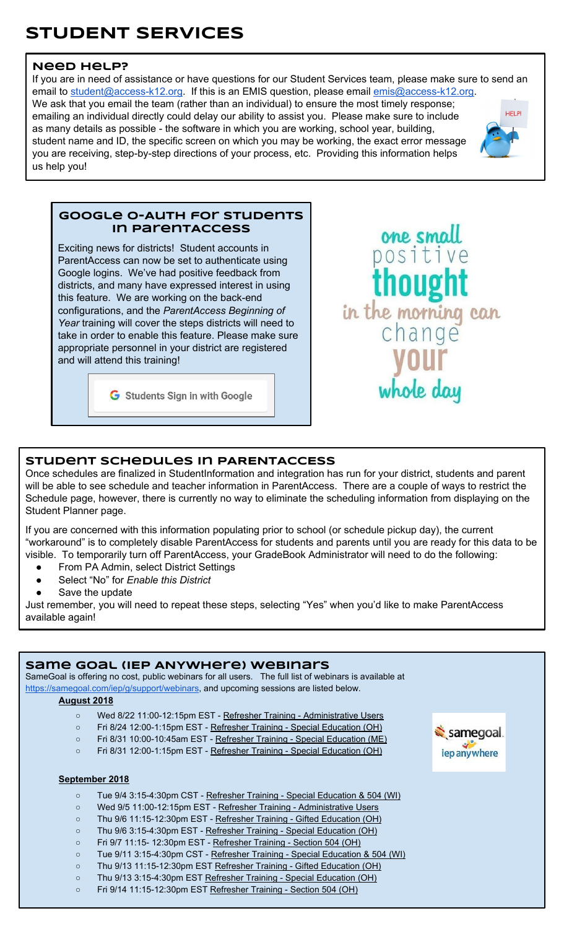# **STUDENT SERVICES**

#### **Need Help?**

If you are in need of assistance or have questions for our Student Services team, please make sure to send an email to [student@access-k12.org](mailto:student@access-k12.org). If this is an EMIS question, please email [emis@access-k12.org](mailto:emis@access-k12.org). We ask that you email the team (rather than an individual) to ensure the most timely response; **HFI PI** emailing an individual directly could delay our ability to assist you. Please make sure to include as many details as possible - the software in which you are working, school year, building, student name and ID, the specific screen on which you may be working, the exact error message you are receiving, step-by-step directions of your process, etc. Providing this information helps us help you!



#### **Google O-Auth for STudents in ParentAccess**

Exciting news for districts! Student accounts in ParentAccess can now be set to authenticate using Google logins. We've had positive feedback from districts, and many have expressed interest in using this feature. We are working on the back-end configurations, and the *ParentAccess Beginning of Year* training will cover the steps districts will need to take in order to enable this feature. Please make sure appropriate personnel in your district are registered and will attend this training!

G Students Sign in with Google



#### **Student schedules in PARENTACCESS**

Once schedules are finalized in StudentInformation and integration has run for your district, students and parent will be able to see schedule and teacher information in ParentAccess. There are a couple of ways to restrict the Schedule page, however, there is currently no way to eliminate the scheduling information from displaying on the Student Planner page.

If you are concerned with this information populating prior to school (or schedule pickup day), the current "workaround" is to completely disable ParentAccess for students and parents until you are ready for this data to be visible. To temporarily turn off ParentAccess, your GradeBook Administrator will need to do the following:

- From PA Admin, select District Settings
- Select "No" for *Enable this District*
- Save the update

Just remember, you will need to repeat these steps, selecting "Yes" when you'd like to make ParentAccess available again!

| Same GOAL (IEP ANYWHERE) WEBINATS<br>SameGoal is offering no cost, public webinars for all users. The full list of webinars is available at<br>https://samegoal.com/iep/g/support/webinars, and upcoming sessions are listed below.<br><b>August 2018</b> |                                                                                                                                                                                                                                                                                                          |                           |
|-----------------------------------------------------------------------------------------------------------------------------------------------------------------------------------------------------------------------------------------------------------|----------------------------------------------------------------------------------------------------------------------------------------------------------------------------------------------------------------------------------------------------------------------------------------------------------|---------------------------|
| $\circ$<br>$\circ$<br>$\circ$<br>$\circ$                                                                                                                                                                                                                  | Wed 8/22 11:00-12:15pm EST - Refresher Training - Administrative Users<br>Fri 8/24 12:00-1:15pm EST - Refresher Training - Special Education (OH)<br>Fri 8/31 10:00-10:45am EST - Refresher Training - Special Education (ME)<br>Fri 8/31 12:00-1:15pm EST - Refresher Training - Special Education (OH) | samegoal.<br>iep anywhere |
| September 2018                                                                                                                                                                                                                                            |                                                                                                                                                                                                                                                                                                          |                           |
| $\circ$                                                                                                                                                                                                                                                   | Tue 9/4 3:15-4:30pm CST - Refresher Training - Special Education & 504 (WI)                                                                                                                                                                                                                              |                           |
| $\circ$                                                                                                                                                                                                                                                   | Wed 9/5 11:00-12:15pm EST - Refresher Training - Administrative Users                                                                                                                                                                                                                                    |                           |
| $\circ$                                                                                                                                                                                                                                                   | Thu 9/6 11:15-12:30pm EST - Refresher Training - Gifted Education (OH)                                                                                                                                                                                                                                   |                           |

- Thu 9/6 3:15-4:30pm EST - [Refresher Training Special Education \(OH\)](https://www.google.com/url?q=https://zoom.us/meeting/register/903a615bbcbb2fd434538d7d4481ef37&sa=D&ust=1533142892545000&usg=AFQjCNGXqDqVDC4h9KGMoAP7miMf2Kk9ow)
- Fri 9/7 11:15- 12:30pm EST - [Refresher Training Section 504 \(OH\)](https://www.google.com/url?q=https://zoom.us/meeting/register/8cead3679f89295d34538d7d4481ef37&sa=D&ust=1533142892545000&usg=AFQjCNFVVKzPNvrGFE3MxrPob8F7YQYSwg)
- Tue 9/11 3:15-4:30pm CST - [Refresher Training Special Education & 504 \(WI\)](https://www.google.com/url?q=https://zoom.us/meeting/register/6496814b73813a2e4ac87b605f06faf5&sa=D&ust=1533142892545000&usg=AFQjCNGVtIf8P3rCphkUN8fiAL0cYrso5A)
- Thu 9/13 11:15-12:30pm EST [Refresher Training Gifted Education \(OH\)](https://www.google.com/url?q=https://zoom.us/meeting/register/4e3a2ebcb1d34213c5b9141539e44ee6&sa=D&ust=1533142892546000&usg=AFQjCNG2sd_UGbN2mt-_KyMuGRkcUTqcug)
- Thu 9/13 3:15-4:30pm EST [Refresher Training Special Education \(OH\)](https://www.google.com/url?q=https://zoom.us/meeting/register/74ab84a00a3bf9cc7510d14dfea9e911&sa=D&ust=1533142892546000&usg=AFQjCNHrc70J5D_tMRnOYT9K-FL0L2cf2g)
- Fri 9/14 11:15-12:30pm EST [Refresher Training Section 504 \(OH\)](https://www.google.com/url?q=https://zoom.us/meeting/register/e0e1e348aa7cb5584ac87b605f06faf5&sa=D&ust=1533142892546000&usg=AFQjCNG30yRQr4Q8iIOhXxu9Tt-lleWEPA)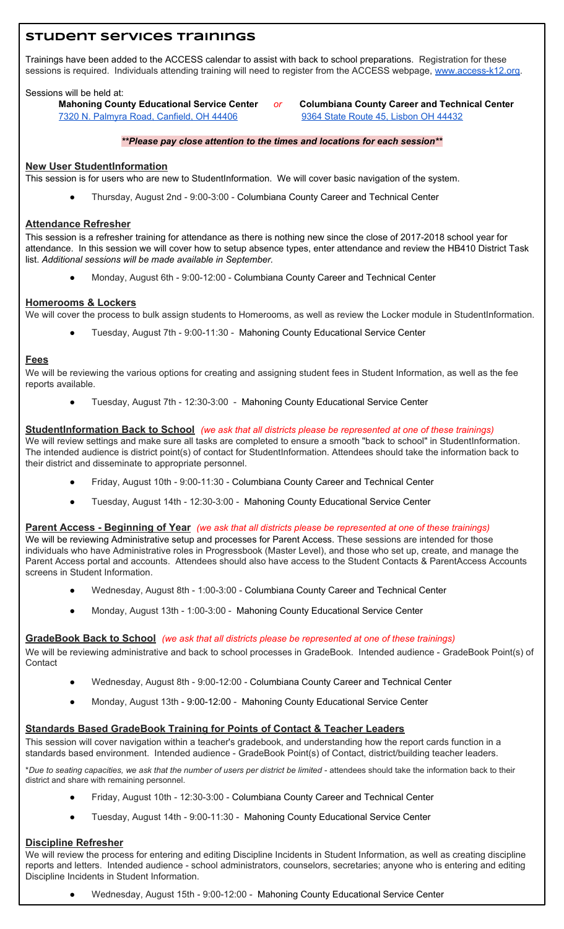### **Student Services Trainings**

Trainings have been added to the ACCESS calendar to assist with back to school preparations. Registration for these sessions is required. Individuals attending training will need to register from the ACCESS webpage, [www.access-k12.org](https://www.google.com/url?q=http://www.access-k12.org/&sa=D&ust=1533142892857000&usg=AFQjCNGMgJJxLuEXrfRM7TrbJRi08KWezQ).

#### Sessions will be held at:

**Mahoning County Educational Service Center** *or* **Columbiana County Career and Technical Center** [7320 N. Palmyra Road, Canfield, OH 44406](https://www.google.com/url?q=https://www.google.com/maps/dir/) [9364 State Route 45, Lisbon OH 44432](https://www.google.com/url?q=https://maps.google.com/?q%3D9364%2BState%2BRoute%2B45,%2BLisbon%2BOH%2B44432%26entry%3Dgmail%26source%3Dg&sa=D&ust=1533142892858000&usg=AFQjCNGmJNZs7Uge04hDcCsrnQwG6dlc1A)

#### *\*\*Please pay close attention to the times and locations for each session\*\**

#### **New User StudentInformation**

This session is for users who are new to StudentInformation. We will cover basic navigation of the system.

Thursday, August 2nd - 9:00-3:00 - Columbiana County Career and Technical Center

#### **Attendance Refresher**

This session is a refresher training for attendance as there is nothing new since the close of 2017-2018 school year for attendance. In this session we will cover how to setup absence types, enter attendance and review the HB410 District Task list. *Additional sessions will be made available in September.*

Monday, August 6th - 9:00-12:00 - Columbiana County Career and Technical Center

#### **Homerooms & Lockers**

We will cover the process to bulk assign students to Homerooms, as well as review the Locker module in StudentInformation.

Tuesday, August 7th - 9:00-11:30 - Mahoning County Educational Service Center

#### **Fees**

We will be reviewing the various options for creating and assigning student fees in Student Information, as well as the fee reports available.

Tuesday, August 7th - 12:30-3:00 - Mahoning County Educational Service Center

#### **StudentInformation Back to School** *(we ask that all districts please be represented at one of these trainings)*

We will review settings and make sure all tasks are completed to ensure a smooth "back to school" in StudentInformation. The intended audience is district point(s) of contact for StudentInformation. Attendees should take the information back to their district and disseminate to appropriate personnel.

- Friday, August 10th 9:00-11:30 Columbiana County Career and Technical Center
- Tuesday, August 14th 12:30-3:00 Mahoning County Educational Service Center

#### **Parent Access - Beginning of Year** *(we ask that all districts please be represented at one of these trainings)*

We will be reviewing Administrative setup and processes for Parent Access. These sessions are intended for those individuals who have Administrative roles in Progressbook (Master Level), and those who set up, create, and manage the Parent Access portal and accounts. Attendees should also have access to the Student Contacts & ParentAccess Accounts screens in Student Information.

- Wednesday, August 8th 1:00-3:00 Columbiana County Career and Technical Center
- Monday, August 13th 1:00-3:00 Mahoning County Educational Service Center

#### **GradeBook Back to School** *(we ask that all districts please be represented at one of these trainings)*

We will be reviewing administrative and back to school processes in GradeBook. Intended audience - GradeBook Point(s) of **Contact** 

- Wednesday, August 8th 9:00-12:00 Columbiana County Career and Technical Center
- Monday, August 13th 9:00-12:00 Mahoning County Educational Service Center

#### **Standards Based GradeBook Training for Points of Contact & Teacher Leaders**

This session will cover navigation within a teacher's gradebook, and understanding how the report cards function in a standards based environment. Intended audience - GradeBook Point(s) of Contact, district/building teacher leaders.

\**Due to seating capacities, we ask that the number of users per district be limited* - attendees should take the information back to their district and share with remaining personnel.

- Friday, August 10th 12:30-3:00 Columbiana County Career and Technical Center
- Tuesday, August 14th 9:00-11:30 Mahoning County Educational Service Center

#### **Discipline Refresher**

We will review the process for entering and editing Discipline Incidents in Student Information, as well as creating discipline reports and letters. Intended audience - school administrators, counselors, secretaries; anyone who is entering and editing Discipline Incidents in Student Information.

Wednesday, August 15th - 9:00-12:00 - Mahoning County Educational Service Center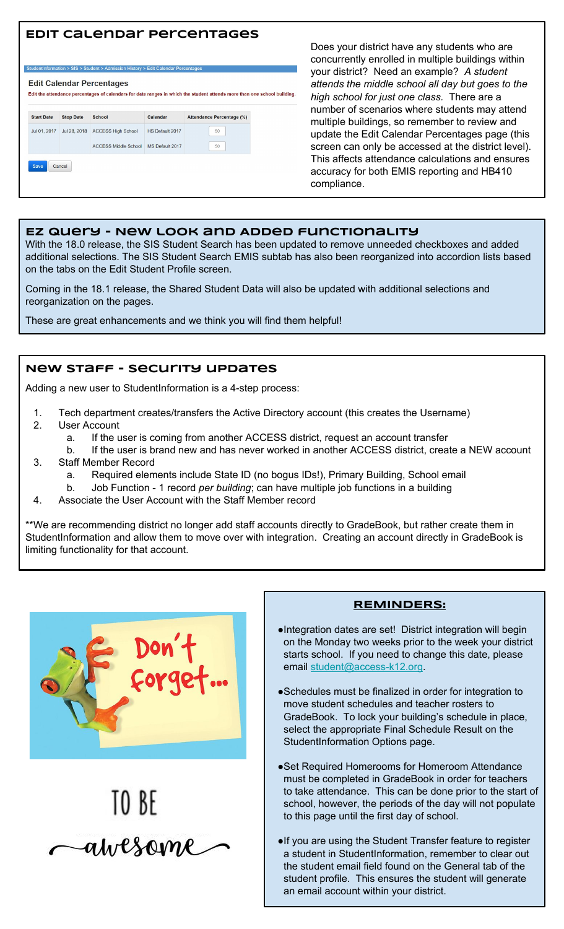# **Edit calendar percentages**



Does your district have any students who are concurrently enrolled in multiple buildings within your district? Need an example? *A student attends the middle school all day but goes to the high school for just one class.* There are a number of scenarios where students may attend multiple buildings, so remember to review and update the Edit Calendar Percentages page (this screen can only be accessed at the district level). This affects attendance calculations and ensures accuracy for both EMIS reporting and HB410 compliance.

#### **EZ Query - New look and Added functionality**

With the 18.0 release, the SIS Student Search has been updated to remove unneeded checkboxes and added additional selections. The SIS Student Search EMIS subtab has also been reorganized into accordion lists based on the tabs on the Edit Student Profile screen.

Coming in the 18.1 release, the Shared Student Data will also be updated with additional selections and reorganization on the pages.

These are great enhancements and we think you will find them helpful!

#### **New staff - security updates**

Adding a new user to StudentInformation is a 4-step process:

- 1. Tech department creates/transfers the Active Directory account (this creates the Username)
- 2. User Account
	- a. If the user is coming from another ACCESS district, request an account transfer
- b. If the user is brand new and has never worked in another ACCESS district, create a NEW account 3. Staff Member Record
	- a. Required elements include State ID (no bogus IDs!), Primary Building, School email
	- b. Job Function 1 record *per building*; can have multiple job functions in a building
- 4. Associate the User Account with the Staff Member record

\*\*We are recommending district no longer add staff accounts directly to GradeBook, but rather create them in StudentInformation and allow them to move over with integration. Creating an account directly in GradeBook is limiting functionality for that account.





#### **REMINDERS:**

- ●Integration dates are set! District integration will begin on the Monday two weeks prior to the week your district starts school. If you need to change this date, please email [student@access-k12.org](mailto:student@access-k12.org).
- ●Schedules must be finalized in order for integration to move student schedules and teacher rosters to GradeBook. To lock your building's schedule in place, select the appropriate Final Schedule Result on the StudentInformation Options page.
- ●Set Required Homerooms for Homeroom Attendance must be completed in GradeBook in order for teachers to take attendance. This can be done prior to the start of school, however, the periods of the day will not populate to this page until the first day of school.
- ●If you are using the Student Transfer feature to register a student in StudentInformation, remember to clear out the student email field found on the General tab of the student profile. This ensures the student will generate an email account within your district.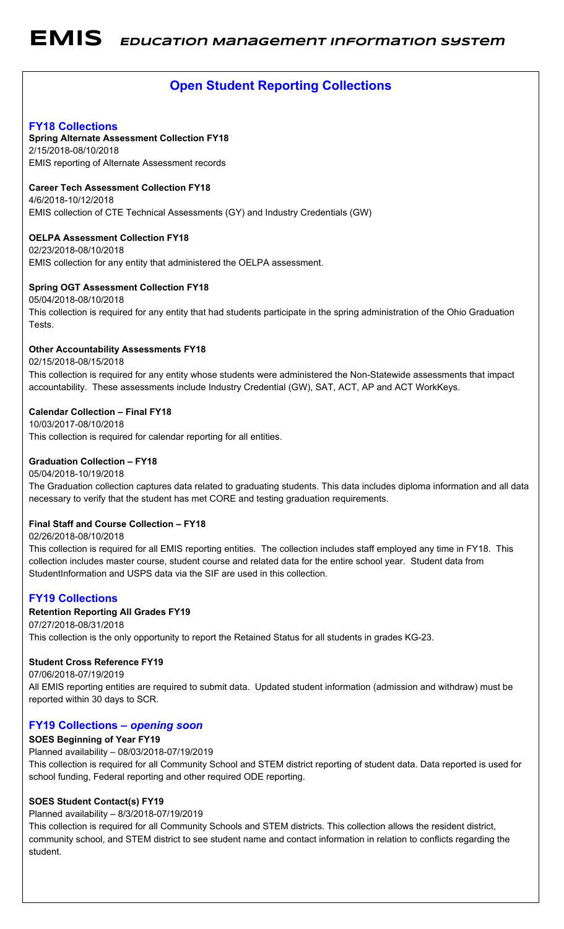# **Open Student Reporting Collections**

#### **FY18 Collections**

#### **Spring Alternate Assessment Collection FY18**

2/15/2018-08/10/2018 EMIS reporting of Alternate Assessment records

#### **Career Tech Assessment Collection FY18**

4/6/2018-10/12/2018 EMIS collection of CTE Technical Assessments (GY) and Industry Credentials (GW)

#### **OELPA Assessment Collection FY18**

02/23/2018-08/10/2018 EMIS collection for any entity that administered the OELPA assessment.

#### **Spring OGT Assessment Collection FY18**

05/04/2018-08/10/2018 This collection is required for any entity that had students participate in the spring administration of the Ohio Graduation Tests.

#### **Other Accountability Assessments FY18**

#### 02/15/2018-08/15/2018

This collection is required for any entity whose students were administered the Non-Statewide assessments that impact accountability. These assessments include Industry Credential (GW), SAT, ACT, AP and ACT WorkKeys.

#### **Calendar Collection – Final FY18**

10/03/2017-08/10/2018 This collection is required for calendar reporting for all entities.

#### **Graduation Collection – FY18**

#### 05/04/2018-10/19/2018 The Graduation collection captures data related to graduating students. This data includes diploma information and all data necessary to verify that the student has met CORE and testing graduation requirements.

#### **Final Staff and Course Collection – FY18**

#### 02/26/2018-08/10/2018

This collection is required for all EMIS reporting entities. The collection includes staff employed any time in FY18. This collection includes master course, student course and related data for the entire school year. Student data from StudentInformation and USPS data via the SIF are used in this collection.

#### **FY19 Collections**

#### **Retention Reporting All Grades FY19**

07/27/2018-08/31/2018 This collection is the only opportunity to report the Retained Status for all students in grades KG-23.

#### **Student Cross Reference FY19**

07/06/2018-07/19/2019 All EMIS reporting entities are required to submit data. Updated student information (admission and withdraw) must be reported within 30 days to SCR.

#### **FY19 Collections –** *opening soon*

#### **SOES Beginning of Year FY19**

Planned availability – 08/03/2018-07/19/2019 This collection is required for all Community School and STEM district reporting of student data. Data reported is used for school funding, Federal reporting and other required ODE reporting.

#### **SOES Student Contact(s) FY19**

#### Planned availability – 8/3/2018-07/19/2019

This collection is required for all Community Schools and STEM districts. This collection allows the resident district, community school, and STEM district to see student name and contact information in relation to conflicts regarding the student.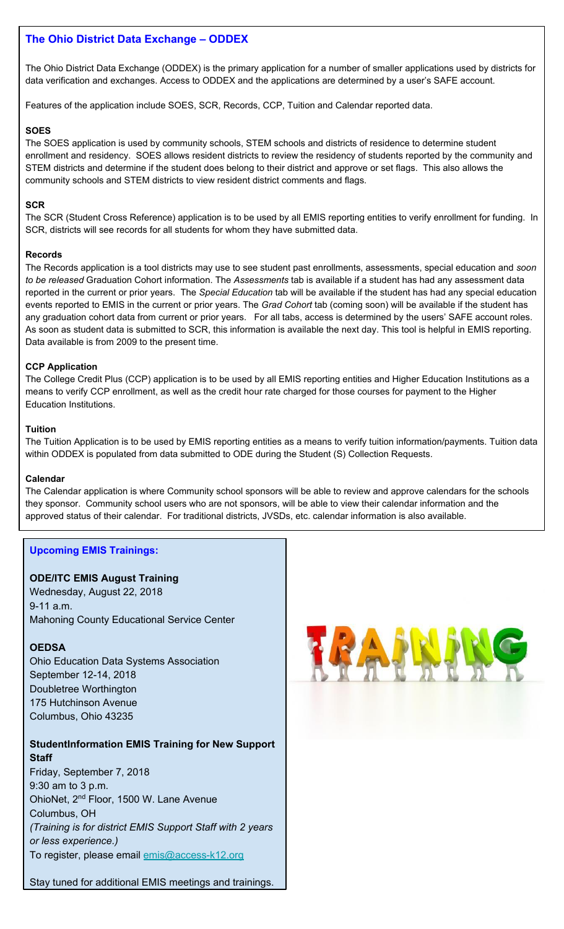#### **The Ohio District Data Exchange – ODDEX**

The Ohio District Data Exchange (ODDEX) is the primary application for a number of smaller applications used by districts for data verification and exchanges. Access to ODDEX and the applications are determined by a user's SAFE account.

Features of the application include SOES, SCR, Records, CCP, Tuition and Calendar reported data.

#### **SOES**

The SOES application is used by community schools, STEM schools and districts of residence to determine student enrollment and residency. SOES allows resident districts to review the residency of students reported by the community and STEM districts and determine if the student does belong to their district and approve or set flags. This also allows the community schools and STEM districts to view resident district comments and flags.

#### **SCR**

The SCR (Student Cross Reference) application is to be used by all EMIS reporting entities to verify enrollment for funding. In SCR, districts will see records for all students for whom they have submitted data.

#### **Records**

The Records application is a tool districts may use to see student past enrollments, assessments, special education and *soon to be released* Graduation Cohort information. The *Assessments* tab is available if a student has had any assessment data reported in the current or prior years. The *Special Education* tab will be available if the student has had any special education events reported to EMIS in the current or prior years. The *Grad Cohort* tab (coming soon) will be available if the student has any graduation cohort data from current or prior years. For all tabs, access is determined by the users' SAFE account roles. As soon as student data is submitted to SCR, this information is available the next day. This tool is helpful in EMIS reporting. Data available is from 2009 to the present time.

#### **CCP Application**

The College Credit Plus (CCP) application is to be used by all EMIS reporting entities and Higher Education Institutions as a means to verify CCP enrollment, as well as the credit hour rate charged for those courses for payment to the Higher Education Institutions.

#### **Tuition**

The Tuition Application is to be used by EMIS reporting entities as a means to verify tuition information/payments. Tuition data within ODDEX is populated from data submitted to ODE during the Student (S) Collection Requests.

#### **Calendar**

The Calendar application is where Community school sponsors will be able to review and approve calendars for the schools they sponsor. Community school users who are not sponsors, will be able to view their calendar information and the approved status of their calendar. For traditional districts, JVSDs, etc. calendar information is also available.

#### **Upcoming EMIS Trainings:**

#### **ODE/ITC EMIS August Training**

Wednesday, August 22, 2018 9-11 a.m. Mahoning County Educational Service Center

#### **OEDSA**

Ohio Education Data Systems Association September 12-14, 2018 Doubletree Worthington 175 Hutchinson Avenue Columbus, Ohio 43235

#### **StudentInformation EMIS Training for New Support Staff**

Friday, September 7, 2018 9:30 am to 3 p.m. OhioNet, 2nd Floor, 1500 W. Lane Avenue Columbus, OH *(Training is for district EMIS Support Staff with 2 years or less experience.)* To register, please email [emis@access-k12.org](mailto:emis@access-k12.org)

Stay tuned for additional EMIS meetings and trainings.